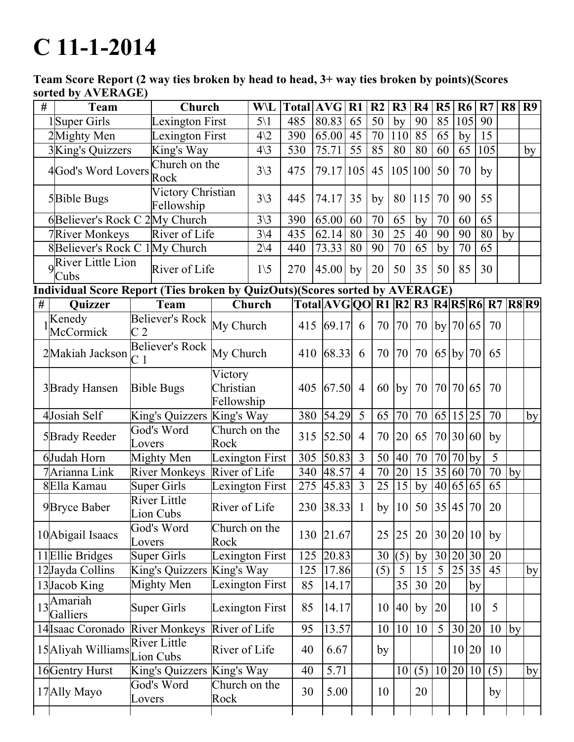## $C 11 - 1 - 2014$

Team Score Report (2 way ties broken by head to head, 3+ way ties broken by points)(Scores sorted by AVERAGE)

| #    | <b>Team</b>                                | Church                                                                      |                                    | <b>W</b> \L     |     |     | <b>Total AVG</b>                        | R1             | R <sub>2</sub> | R3              | R <sub>4</sub>  | R <sub>5</sub> | <b>R6</b> |          | R7              | R <sub>8</sub> | R9 |
|------|--------------------------------------------|-----------------------------------------------------------------------------|------------------------------------|-----------------|-----|-----|-----------------------------------------|----------------|----------------|-----------------|-----------------|----------------|-----------|----------|-----------------|----------------|----|
|      | 1Super Girls                               | Lexington First                                                             |                                    | $5\backslash1$  | 485 |     | 80.83                                   | 65             | 50             | by              | 90              | 85             |           | 105      | 90              |                |    |
|      | 2Mighty Men                                | Lexington First                                                             |                                    | $4\sqrt{2}$     | 390 |     | 65.00                                   | 45             | 70             | 110             | 85              | 65             | by        |          | 15              |                |    |
|      | 3King's Quizzers<br>King's Way             |                                                                             |                                    | $4\backslash3$  | 530 |     | 75.71                                   | 55             | 85             | 80              | 80              | 60             | 65        |          | 105             |                | by |
|      | 4God's Word Lovers                         | Church on the<br>Rock                                                       |                                    | $3\backslash 3$ | 475 |     | 79.17                                   | 105            | 45             |                 | 105 100         | 50             | 70        |          | by              |                |    |
|      | 5Bible Bugs                                | Victory Christian<br>Fellowship                                             |                                    | $3\backslash 3$ | 445 |     | 74.17                                   | 35             | by             | 80              | 115             | 70             | 90        |          | 55              |                |    |
|      |                                            | 6Believer's Rock C 2My Church                                               |                                    | $3\backslash 3$ | 390 |     | 65.00                                   | 60             | 70             | 65              | by              | 70             | 60        |          | 65              |                |    |
|      | 7River Monkeys                             | River of Life                                                               |                                    | $3\backslash 4$ | 435 |     | 62.14                                   | 80             | 30             | 25              | 40              | 90             | 90        |          | 80              | by             |    |
|      |                                            | 8Believer's Rock C 1My Church                                               |                                    | $\overline{2}4$ | 440 |     | 73.33                                   | 80             | 90             | $\overline{70}$ | 65              | by             | 70        |          | $\overline{65}$ |                |    |
|      | $9\sqrt{\text{River Little Lion}}$<br>Cubs | River of Life                                                               |                                    | $1\backslash 5$ | 270 |     | 45.00                                   | by             | 20             | 50              | 35              | 50             | 85        |          | 30              |                |    |
|      |                                            | Individual Score Report (Ties broken by QuizOuts)(Scores sorted by AVERAGE) |                                    |                 |     |     |                                         |                |                |                 |                 |                |           |          |                 |                |    |
| $\#$ | <b>Ouizzer</b>                             | Team                                                                        |                                    | Church          |     |     | Total AVG QO R1 R2 R3 R4 R5 R6 R7 R8 R9 |                |                |                 |                 |                |           |          |                 |                |    |
|      | Kenedy<br>McCormick                        | Believer's Rock My Church<br>C <sub>2</sub>                                 |                                    |                 |     | 415 | 69.17                                   | 6              | 70             | 70              | 70              | by 70 65       |           |          | 70              |                |    |
|      | 2Makiah Jackson                            | Believer's Rock<br>$\overline{C}$ 1                                         | My Church                          |                 |     | 410 | 68.33                                   | 6              | 70             | 70              | 70              | $65$ by $70$   |           |          | 65              |                |    |
|      | 3 Brady Hansen                             | <b>Bible Bugs</b>                                                           | Victory<br>Christian<br>Fellowship |                 |     | 405 | 67.50                                   | $\overline{4}$ | 60             | by              | 70              |                |           | 70 70 65 | 70              |                |    |
|      | 4Josiah Self                               | King's Quizzers King's Way                                                  |                                    |                 |     | 380 | 54.29                                   | 5              | 65             | 70              | 70              | 65             |           | 15 25    | 70              |                | by |
|      | 5 Brady Reeder                             | God's Word<br>Lovers                                                        | Church on the<br>Rock              |                 |     | 315 | 52.50                                   | $\overline{4}$ | 70             | 20              | 65              | 70 30 60       |           |          | by              |                |    |
|      | 6Judah Horn                                | Mighty Men                                                                  | Lexington First                    |                 |     | 305 | 50.83                                   | $\overline{3}$ | 50             | 40              | 70              | 70             | 70        | by       | 5               |                |    |
|      | 7Arianna Link                              | <b>River Monkeys</b>                                                        | River of Life                      |                 |     | 340 | 48.57                                   | $\overline{4}$ | 70             | 20              | $\overline{15}$ | 35 60          |           | 70       | $\overline{70}$ | by             |    |
|      | 8Ella Kamau                                | <b>Super Girls</b>                                                          | Lexington First                    |                 |     | 275 | 45.83                                   | $\overline{3}$ | 25             | 15              | by              | 40 65 65       |           |          | 65              |                |    |
|      | 9Bryce Baber                               | <b>River Little</b><br>Lion Cubs                                            | River of Life                      |                 |     | 230 | 38.33                                   | $\mathbf{1}$   | by             | 10              | 50              | 35 45 70       |           |          | 20              |                |    |
|      | 10 Abigail Isaacs                          | God's Word<br>Lovers                                                        | Church on the<br>Rock              |                 |     | 130 | 21.67                                   |                | 25             | 25              | 20              | 30 20 10       |           |          | by              |                |    |
|      | 11 Ellie Bridges                           | <b>Super Girls</b>                                                          | Lexington First                    |                 |     | 125 | 20.83                                   |                | 30             | (5)             | by              | 30 20          |           | 30       | 20              |                |    |
|      | 12Jayda Collins                            | King's Quizzers King's Way                                                  |                                    |                 |     | 125 | 17.86                                   |                | (5)            | 5               | 15              | 5              | 25        | 35       | $\overline{45}$ |                | by |
|      | 13Jacob King                               | Mighty Men                                                                  | Lexington First                    |                 |     | 85  | 14.17                                   |                |                | 35              | 30              | 20             |           | by       |                 |                |    |
|      | $13$ <sup>Amariah</sup><br>Galliers        | <b>Super Girls</b>                                                          | Lexington First                    |                 |     | 85  | 14.17                                   |                | 10             | 40              | by              | 20             |           | 10       | 5               |                |    |
|      |                                            | 14 Isaac Coronado River Monkeys                                             | River of Life                      |                 |     | 95  | 13.57                                   |                | 10             | 10              | 10              | 5              | 30        | 20       | 10              | by             |    |
|      | 15 Aliyah Williams                         | <b>River Little</b><br>Lion Cubs                                            | River of Life                      |                 |     | 40  | 6.67                                    |                | by             |                 |                 |                |           | 10 20    | 10              |                |    |
|      | 16 Gentry Hurst                            | King's Quizzers King's Way                                                  |                                    |                 |     | 40  | 5.71                                    |                |                | 10              | (5)             | 10             | 20        | 10       | (5)             |                | by |
|      | 17 Ally Mayo                               | God's Word<br>Lovers                                                        | Church on the<br>Rock              |                 |     | 30  | 5.00                                    |                | 10             |                 | 20              |                |           |          | by              |                |    |
|      |                                            |                                                                             |                                    |                 |     |     |                                         |                |                |                 |                 |                |           |          |                 |                |    |